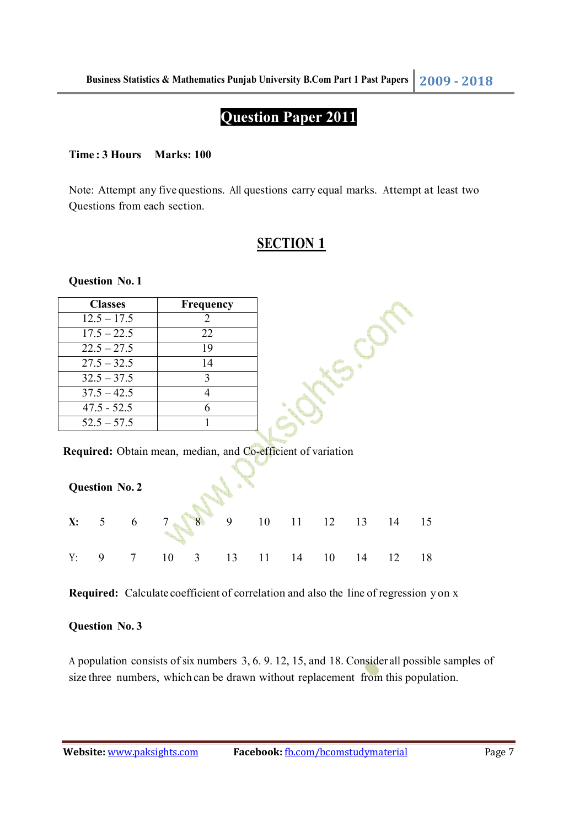# **Question Paper 2011**

#### **Time : 3 Hours Marks: 100**

Note: Attempt any five questions. All questions carry equal marks. Attempt at least two Questions from each section.

## **SECTION 1**

**Syles** Con

**Question No. 1** 

| <b>Classes</b> | <b>Frequency</b> |
|----------------|------------------|
| $12.5 - 17.5$  | $\mathcal{D}$    |
| $17.5 - 22.5$  | 22               |
| $22.5 - 27.5$  | 19               |
| $27.5 - 32.5$  | 14               |
| $32.5 - 37.5$  | ζ                |
| $37.5 - 42.5$  |                  |
| $47.5 - 52.5$  |                  |
| $52.5 - 57.5$  |                  |

**Required:** Obtain mean, median, and Co-efficient of variation

|    | <b>Question No. 2</b> |                |          |                                                                 |   |             |    |    |    |     |    |
|----|-----------------------|----------------|----------|-----------------------------------------------------------------|---|-------------|----|----|----|-----|----|
| X: | 5 <sup>5</sup>        |                | $6 \t 7$ | $\begin{array}{c c} \hline \mathbf{8} & \mathbf{8} \end{array}$ | 9 | 10 11 12 13 |    |    |    | -14 | 15 |
| Y: | 9                     | $\overline{7}$ |          | $10 \quad 3$                                                    |   | 13 11       | 14 | 10 | 14 | 12  | 18 |

**Required:** Calculate coefficient of correlation and also the line of regression y on x

#### **Question No. 3**

A population consists of six numbers 3, 6. 9. 12, 15, and 18. Consider all possible samples of size three numbers, which can be drawn without replacement from this population.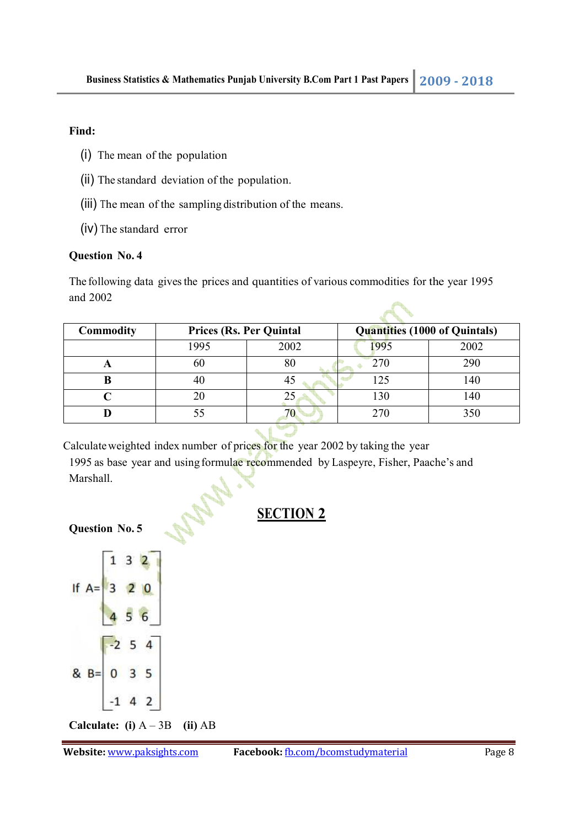### **Find:**

- (i) The mean of the population
- (ii) The standard deviation of the population.
- (iii) The mean of the sampling distribution of the means.
- (iv) The standard error

### **Question No. 4**

The following data gives the prices and quantities of various commodities for the year 1995 and 2002

| Commodity |      | <b>Prices (Rs. Per Quintal</b> |      | <b>Quantities (1000 of Quintals)</b> |  |  |  |  |
|-----------|------|--------------------------------|------|--------------------------------------|--|--|--|--|
|           | 1995 | 2002                           | '995 | 2002                                 |  |  |  |  |
|           | 60   |                                | 270  | 290                                  |  |  |  |  |
|           |      |                                | 125  | 140                                  |  |  |  |  |
|           |      |                                | 130  | 140                                  |  |  |  |  |
|           |      |                                | 270  | 350                                  |  |  |  |  |
|           |      |                                |      |                                      |  |  |  |  |

Calculate weighted index number of prices for the year 2002 by taking the year

1995 as base year and using formulae recommended by Laspeyre, Fisher, Paache's and Marshall.

# **SECTION 2**

## **Question No. 5**



**Calculate: (i)** A – 3B **(ii)** AB